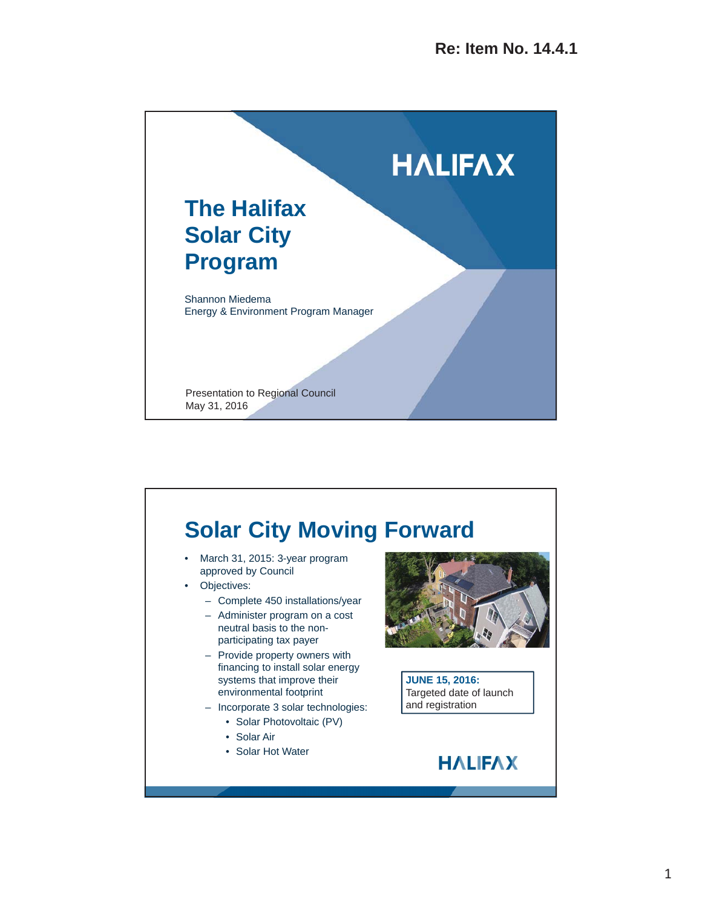

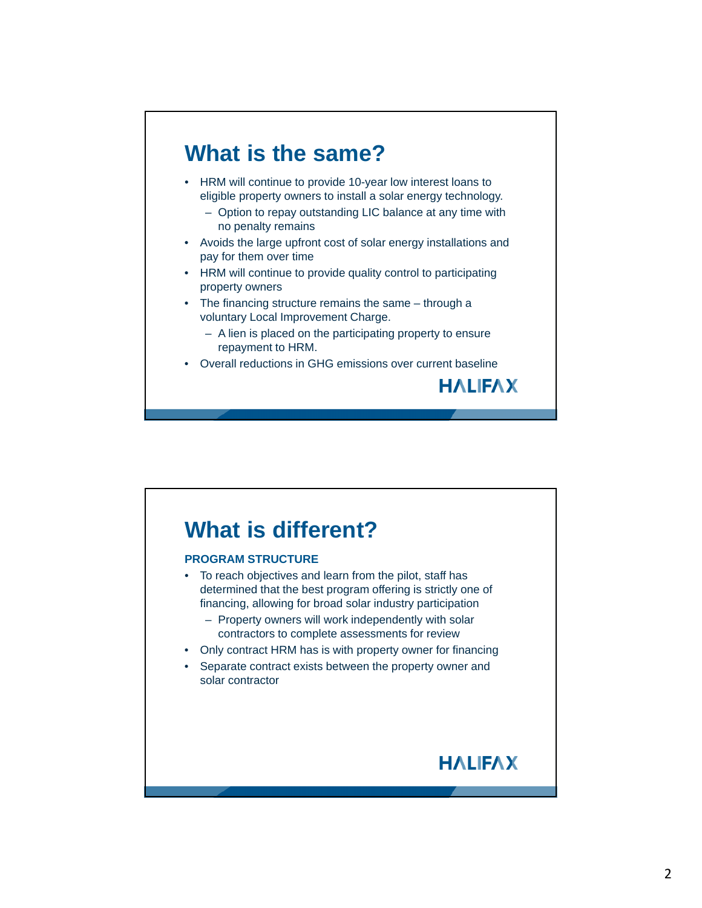

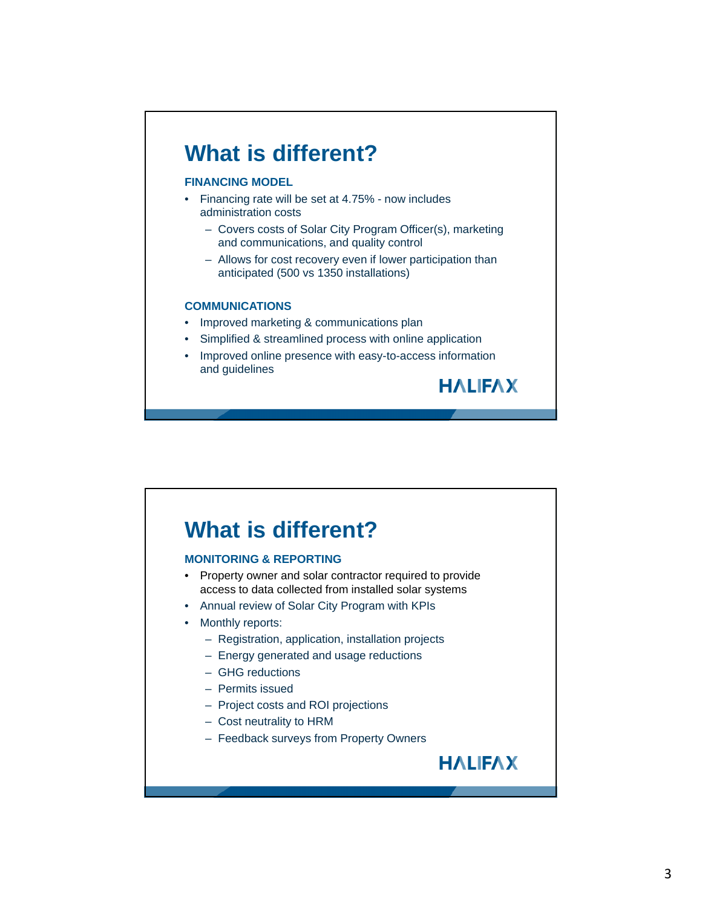## **What is different?**

#### **FINANCING MODEL**

- Financing rate will be set at 4.75% now includes administration costs
	- Covers costs of Solar City Program Officer(s), marketing and communications, and quality control
	- Allows for cost recovery even if lower participation than anticipated (500 vs 1350 installations)

#### **COMMUNICATIONS**

- Improved marketing & communications plan
- Simplified & streamlined process with online application
- Improved online presence with easy-to-access information and guidelines

### **What is different?**

#### **MONITORING & REPORTING**

- Property owner and solar contractor required to provide access to data collected from installed solar systems
- Annual review of Solar City Program with KPIs
- Monthly reports:
	- Registration, application, installation projects
	- Energy generated and usage reductions
	- GHG reductions
	- Permits issued
	- Project costs and ROI projections
	- Cost neutrality to HRM
	- Feedback surveys from Property Owners



**HALIFAX**